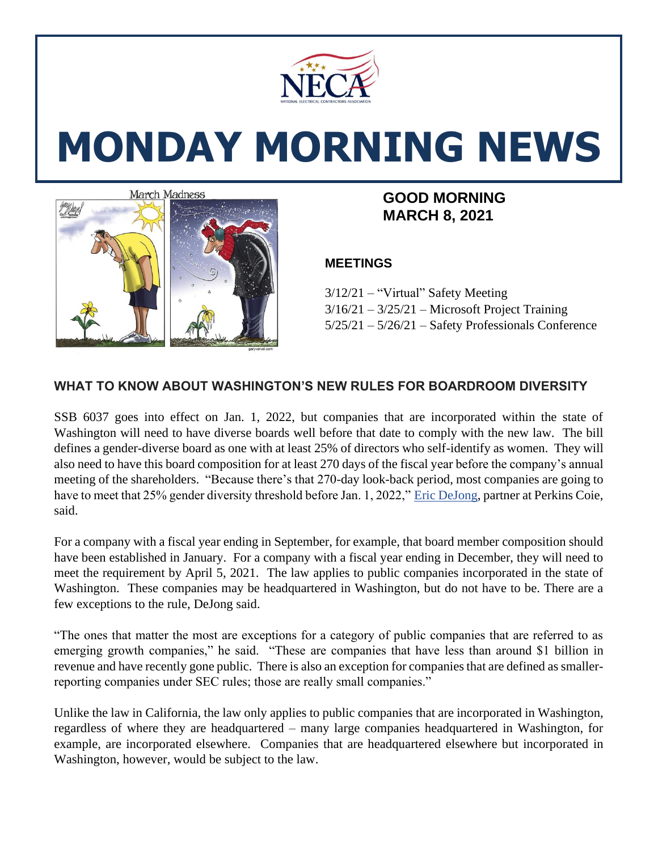

# **MONDAY MORNING NEWS**



# **MARCH 8, 2021**

### **MEETINGS**

3/12/21 – "Virtual" Safety Meeting  $3/16/21 - 3/25/21$  – Microsoft Project Training 5/25/21 – 5/26/21 – Safety Professionals Conference

## **WHAT TO KNOW ABOUT WASHINGTON'S NEW RULES FOR BOARDROOM DIVERSITY**

SSB 6037 goes into effect on Jan. 1, 2022, but companies that are incorporated within the state of Washington will need to have diverse boards well before that date to comply with the new law. The bill defines a gender-diverse board as one with at least 25% of directors who self-identify as women. They will also need to have this board composition for at least 270 days of the fiscal year before the company's annual meeting of the shareholders. "Because there's that 270-day look-back period, most companies are going to have to meet that 25% gender diversity threshold before Jan. 1, 2022," [Eric DeJong,](https://www.bizjournals.com/seattle/search/results?q=Eric%20DeJong) partner at Perkins Coie, said.

For a company with a fiscal year ending in September, for example, that board member composition should have been established in January. For a company with a fiscal year ending in December, they will need to meet the requirement by April 5, 2021. The law applies to public companies incorporated in the state of Washington. These companies may be headquartered in Washington, but do not have to be. There are a few exceptions to the rule, DeJong said.

"The ones that matter the most are exceptions for a category of public companies that are referred to as emerging growth companies," he said. "These are companies that have less than around \$1 billion in revenue and have recently gone public. There is also an exception for companies that are defined as smallerreporting companies under SEC rules; those are really small companies."

Unlike the law in California, the law only applies to public companies that are incorporated in Washington, regardless of where they are headquartered – many large companies headquartered in Washington, for example, are incorporated elsewhere. Companies that are headquartered elsewhere but incorporated in Washington, however, would be subject to the law.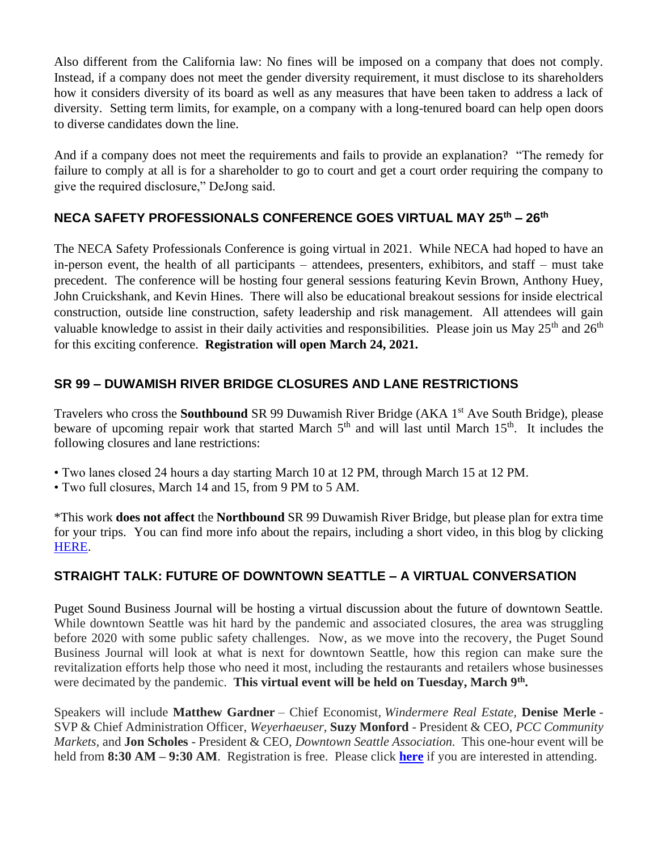Also different from the California law: No fines will be imposed on a company that does not comply. Instead, if a company does not meet the gender diversity requirement, it must disclose to its shareholders how it considers diversity of its board as well as any measures that have been taken to address a lack of diversity. Setting term limits, for example, on a company with a long-tenured board can help open doors to diverse candidates down the line.

And if a company does not meet the requirements and fails to provide an explanation? "The remedy for failure to comply at all is for a shareholder to go to court and get a court order requiring the company to give the required disclosure," DeJong said.

### **NECA SAFETY PROFESSIONALS CONFERENCE GOES VIRTUAL MAY 25th – 26th**

The NECA Safety Professionals Conference is going virtual in 2021. While NECA had hoped to have an in-person event, the health of all participants – attendees, presenters, exhibitors, and staff – must take precedent. The conference will be hosting four general sessions featuring Kevin Brown, Anthony Huey, John Cruickshank, and Kevin Hines. There will also be educational breakout sessions for inside electrical construction, outside line construction, safety leadership and risk management. All attendees will gain valuable knowledge to assist in their daily activities and responsibilities. Please join us May  $25<sup>th</sup>$  and  $26<sup>th</sup>$ for this exciting conference. **Registration will open March 24, 2021.**

### **SR 99 – DUWAMISH RIVER BRIDGE CLOSURES AND LANE RESTRICTIONS**

Travelers who cross the **Southbound** SR 99 Duwamish River Bridge (AKA 1st Ave South Bridge), please beware of upcoming repair work that started March  $5<sup>th</sup>$  and will last until March  $15<sup>th</sup>$ . It includes the following closures and lane restrictions:

- Two lanes closed 24 hours a day starting March 10 at 12 PM, through March 15 at 12 PM.
- Two full closures, March 14 and 15, from 9 PM to 5 AM.

\*This work **does not affect** the **Northbound** SR 99 Duwamish River Bridge, but please plan for extra time for your trips. You can find more info about the repairs, including a short video, in this blog by clicking [HERE.](https://wsdotblog.blogspot.com/2020/10/repairs-closures-lane-reductions-sr-99-duwamish-river-bridge.html?fbclid=IwAR1PjpnOoGHnMF2nYf3M7XgIf86XbsD-7dRrbf-Te-BYLQnXrgUwYk83hMg#UYdM3Sb0Utg)

#### **STRAIGHT TALK: FUTURE OF DOWNTOWN SEATTLE – A VIRTUAL CONVERSATION**

Puget Sound Business Journal will be hosting a virtual discussion about the future of downtown Seattle. While downtown Seattle was hit hard by the pandemic and associated closures, the area was struggling before 2020 with some public safety challenges. Now, as we move into the recovery, the Puget Sound Business Journal will look at what is next for downtown Seattle, how this region can make sure the revitalization efforts help those who need it most, including the restaurants and retailers whose businesses were decimated by the pandemic. **This virtual event will be held on Tuesday, March 9th .**

Speakers will include **Matthew Gardner** – Chief Economist, *Windermere Real Estate,* **Denise Merle** - SVP & Chief Administration Officer, *Weyerhaeuser,* **Suzy Monford** - President & CEO, *PCC Community Markets,* and **Jon Scholes** - President & CEO, *Downtown Seattle Association.* This one-hour event will be held from **8:30 AM – 9:30 AM**. Registration is free. Please click **[here](https://www.bizjournals.com/seattle/event/166639/2021/straight-talk-future-of-downtown-seattle)** if you are interested in attending.